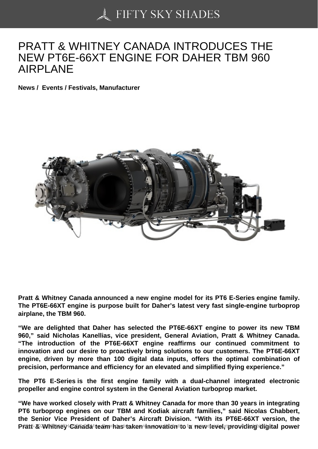# [PRATT & WHITNEY C](https://50skyshades.com)ANADA INTRODUCES THE NEW PT6E-66XT ENGINE FOR DAHER TBM 960 AIRPLANE

News / Events / Festivals, Manufacturer

Pratt & Whitney Canada announced a new engine model for its PT6 E-Series engine family. The PT6E-66XT engine is purpose built for Daher's latest very fast single-engine turboprop airplane, the TBM 960.

"We are delighted that Daher has selected the PT6E-66XT engine to power its new TBM 960," said Nicholas Kanellias, vice president, General Aviation, Pratt & Whitney Canada. "The introduction of the PT6E-66XT engine reaffirms our continued commitment to innovation and our desire to proactively bring solutions to our customers. The PT6E-66XT engine, driven by more than 100 digital data inputs, offers the optimal combination of precision, performance and efficiency for an elevated and simplified flying experience."

The PT6 E-Series is the first engine family with a dual-channel integrated electronic propeller and engine control system in the General Aviation turboprop market.

"We have worked closely with Pratt & Whitney Canada for more than 30 years in integrating PT6 turboprop engines on our TBM and Kodiak aircraft families," said Nicolas Chabbert, the Senior Vice President of Daher's Aircraft Division. "With its PT6E-66XT version, the Pratt & Whitney Canada team has taken innovation to revolution to a redistribution of the production of the pu